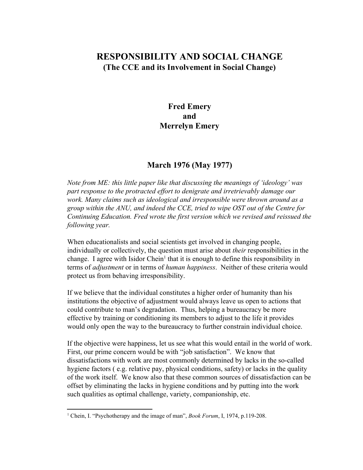## **RESPONSIBILITY AND SOCIAL CHANGE (The CCE and its Involvement in Social Change)**

## **Fred Emery and Merrelyn Emery**

## **March 1976 (May 1977)**

*Note from ME: this little paper like that discussing the meanings of 'ideology' was part response to the protracted effort to denigrate and irretrievably damage our work. Many claims such as ideological and irresponsible were thrown around as a group within the ANU, and indeed the CCE, tried to wipe OST out of the Centre for Continuing Education. Fred wrote the first version which we revised and reissued the following year.*

When educationalists and social scientists get involved in changing people, individually or collectively, the question must arise about *their* responsibilities in the change. I agree with Isidor Chein<sup>1</sup> that it is enough to define this responsibility in terms of *adjustment* or in terms of *human happiness*. Neither of these criteria would protect us from behaving irresponsibility.

If we believe that the individual constitutes a higher order of humanity than his institutions the objective of adjustment would always leave us open to actions that could contribute to man's degradation. Thus, helping a bureaucracy be more effective by training or conditioning its members to adjust to the life it provides would only open the way to the bureaucracy to further constrain individual choice.

If the objective were happiness, let us see what this would entail in the world of work. First, our prime concern would be with "job satisfaction". We know that dissatisfactions with work are most commonly determined by lacks in the so-called hygiene factors ( e.g. relative pay, physical conditions, safety) or lacks in the quality of the work itself. We know also that these common sources of dissatisfaction can be offset by eliminating the lacks in hygiene conditions and by putting into the work such qualities as optimal challenge, variety, companionship, etc.

<sup>1</sup> Chein, I. "Psychotherapy and the image of man", *Book Forum*, I, 1974, p.119-208.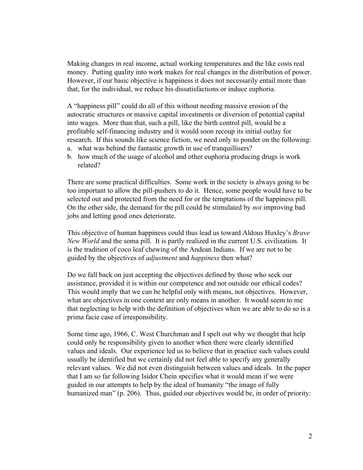Making changes in real income, actual working temperatures and the like costs real money. Putting quality into work makes for real changes in the distribution of power. However, if our basic objective is happiness it does not necessarily entail more than that, for the individual, we reduce his dissatisfactions or induce euphoria.

A "happiness pill" could do all of this without needing massive erosion of the autocratic structures or massive capital investments or diversion of potential capital into wages. More than that, such a pill, like the birth control pill, would be a profitable self-financing industry and it would soon recoup its initial outlay for research. If this sounds like science fiction, we need only to ponder on the following:

- a. what was behind the fantastic growth in use of tranquillisers?
- b. how much of the usage of alcohol and other euphoria producing drugs is work related?

There are some practical difficulties. Some work in the society is always going to be too important to allow the pill-pushers to do it. Hence, some people would have to be selected out and protected from the need for or the temptations of the happiness pill. On the other side, the demand for the pill could be stimulated by *not* improving bad jobs and letting good ones deteriorate.

This objective of human happiness could thus lead us toward Aldous Huxley's *Brave New World* and the soma pill. It is partly realized in the current U.S. civilization. It is the tradition of coco leaf chewing of the Andean Indians. If we are not to be guided by the objectives of *adjustment* and *happiness* then what?

Do we fall back on just accepting the objectives defined by those who seek our assistance, provided it is within our competence and not outside our ethical codes? This would imply that we can be helpful only with means, not objectives. However, what are objectives in one context are only means in another. It would seem to me that neglecting to help with the definition of objectives when we are able to do so is a prima facie case of irresponsibility.

Some time ago, 1966, C. West Churchman and I spelt out why we thought that help could only be responsibility given to another when there were clearly identified values and ideals. Our experience led us to believe that in practice such values could usually be identified but we certainly did not feel able to specify any generally relevant values. We did not even distinguish between values and ideals. In the paper that I am so far following Isidor Chein specifies what it would mean if we were guided in our attempts to help by the ideal of humanity "the image of fully humanized man" (p. 206). Thus, guided our objectives would be, in order of priority: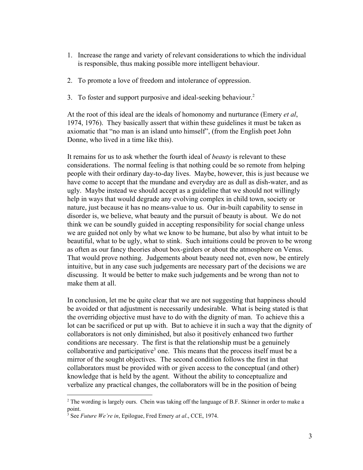- 1. Increase the range and variety of relevant considerations to which the individual is responsible, thus making possible more intelligent behaviour.
- 2. To promote a love of freedom and intolerance of oppression.
- 3. To foster and support purposive and ideal-seeking behaviour.<sup>2</sup>

At the root of this ideal are the ideals of homonomy and nurturance (Emery *et al*, 1974, 1976). They basically assert that within these guidelines it must be taken as axiomatic that "no man is an island unto himself", (from the English poet John Donne, who lived in a time like this).

It remains for us to ask whether the fourth ideal of *beauty* is relevant to these considerations. The normal feeling is that nothing could be so remote from helping people with their ordinary day-to-day lives. Maybe, however, this is just because we have come to accept that the mundane and everyday are as dull as dish-water, and as ugly. Maybe instead we should accept as a guideline that we should not willingly help in ways that would degrade any evolving complex in child town, society or nature, just because it has no means-value to us. Our in-built capability to sense in disorder is, we believe, what beauty and the pursuit of beauty is about. We do not think we can be soundly guided in accepting responsibility for social change unless we are guided not only by what we know to be humane, but also by what intuit to be beautiful, what to be ugly, what to stink. Such intuitions could be proven to be wrong as often as our fancy theories about box-girders or about the atmosphere on Venus. That would prove nothing. Judgements about beauty need not, even now, be entirely intuitive, but in any case such judgements are necessary part of the decisions we are discussing. It would be better to make such judgements and be wrong than not to make them at all.

In conclusion, let me be quite clear that we are not suggesting that happiness should be avoided or that adjustment is necessarily undesirable. What is being stated is that the overriding objective must have to do with the dignity of man. To achieve this a lot can be sacrificed or put up with. But to achieve it in such a way that the dignity of collaborators is not only diminished, but also it positively enhanced two further conditions are necessary. The first is that the relationship must be a genuinely collaborative and participative<sup>3</sup> one. This means that the process itself must be a mirror of the sought objectives. The second condition follows the first in that collaborators must be provided with or given access to the conceptual (and other) knowledge that is held by the agent. Without the ability to conceptualize and verbalize any practical changes, the collaborators will be in the position of being

<sup>&</sup>lt;sup>2</sup> The wording is largely ours. Chein was taking off the language of B.F. Skinner in order to make a point.

<sup>3</sup> See *Future We're in*, Epilogue, Fred Emery *at al*., CCE, 1974.